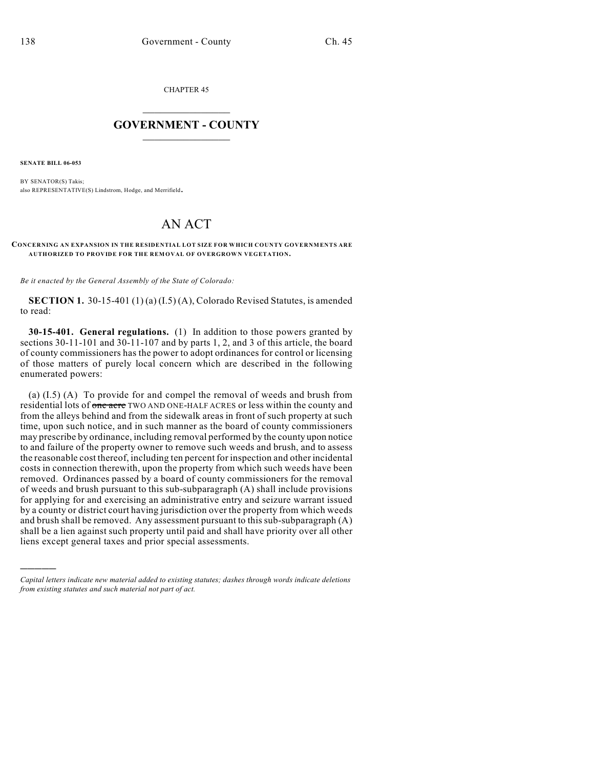CHAPTER 45

## $\mathcal{L}_\text{max}$  . The set of the set of the set of the set of the set of the set of the set of the set of the set of the set of the set of the set of the set of the set of the set of the set of the set of the set of the set **GOVERNMENT - COUNTY**  $\_$

**SENATE BILL 06-053**

)))))

BY SENATOR(S) Takis; also REPRESENTATIVE(S) Lindstrom, Hodge, and Merrifield.

## AN ACT

## **CONCERNING AN EXPANSION IN THE RESIDENTIAL LOT SIZE FOR WHICH COUNTY GOVERNMENTS ARE AUTHORIZED TO PROVIDE FOR THE REMOVAL OF OVERGROWN VEGETATION.**

*Be it enacted by the General Assembly of the State of Colorado:*

**SECTION 1.** 30-15-401 (1) (a) (I.5) (A), Colorado Revised Statutes, is amended to read:

**30-15-401. General regulations.** (1) In addition to those powers granted by sections 30-11-101 and 30-11-107 and by parts 1, 2, and 3 of this article, the board of county commissioners has the power to adopt ordinances for control or licensing of those matters of purely local concern which are described in the following enumerated powers:

(a) (I.5) (A) To provide for and compel the removal of weeds and brush from residential lots of one acre TWO AND ONE-HALF ACRES or less within the county and from the alleys behind and from the sidewalk areas in front of such property at such time, upon such notice, and in such manner as the board of county commissioners may prescribe by ordinance, including removal performed by the county upon notice to and failure of the property owner to remove such weeds and brush, and to assess the reasonable cost thereof, including ten percent for inspection and other incidental costs in connection therewith, upon the property from which such weeds have been removed. Ordinances passed by a board of county commissioners for the removal of weeds and brush pursuant to this sub-subparagraph (A) shall include provisions for applying for and exercising an administrative entry and seizure warrant issued by a county or district court having jurisdiction over the property from which weeds and brush shall be removed. Any assessment pursuant to this sub-subparagraph (A) shall be a lien against such property until paid and shall have priority over all other liens except general taxes and prior special assessments.

*Capital letters indicate new material added to existing statutes; dashes through words indicate deletions from existing statutes and such material not part of act.*